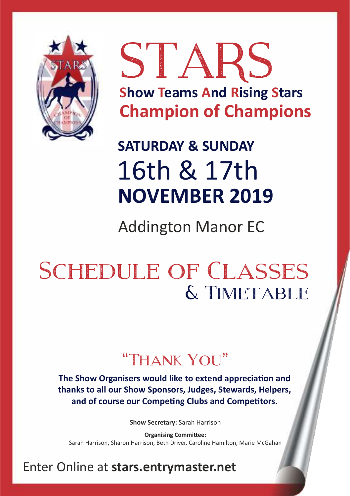

STARS **Show Teams And Rising Stars Champion of Champions**

**SATURDAY & SUNDAY**

**NOVEMBER 2019** 16th & 17th

Addington Manor EC

# SCHEDULE OF CLASSES & Timetable

# "Thank You"

**The Show Organisers would like to extend appreciation and thanks to all our Show Sponsors, Judges, Stewards, Helpers,**  and of course our Competing Clubs and Competitors.

**Show Secretary:** Sarah Harrison

Sarah Harrison, Sharon Harrison, Beth Driver, Caroline Hamilton, Marie McGahan **Organising Committee:** 

# Enter Online at **stars.entrymaster.net**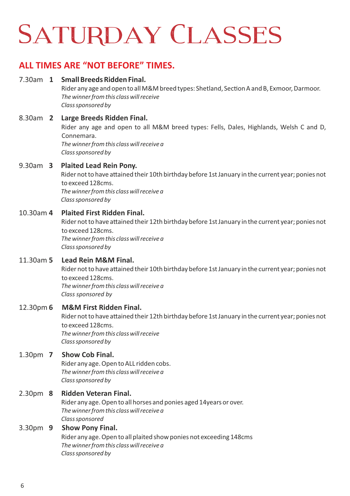# **SATURDAY CLASSES**

# **ALL TIMES ARE "NOT BEFORE" TIMES.**

### 7.30am **1 Small Breeds Ridden Final.** Rider any age and open to all M&M breed types: Shetland, Section A and B, Exmoor, Darmoor, *The winner from this class will receive Class sponsored by*  8.30am **2 Large Breeds Ridden Final.** Rider any age and open to all M&M breed types: Fells, Dales, Highlands, Welsh C and D, Connemara.

*The winner from this class will receive a Class sponsored by* 

### 9.30am **3 Plaited Lead Rein Pony.**

Rider not to have attained their 10th birthday before 1st January in the current year; ponies not to exceed 128cms. *The winner from this class will receive a Class sponsored by* 

### 10.30am **4 Plaited First Ridden Final.**

Rider not to have attained their 12th birthday before 1st January in the current year; ponies not to exceed 128cms. *The winner from this class will receive a Class sponsored by* 

### 11.30am **5 Lead Rein M&M Final.**

Rider not to have attained their 10th birthday before 1st January in the current year; ponies not to exceed 128cms. *The winner from this class will receive a Class sponsored by* 

### 12.30pm **6 M&M First Ridden Final.**

Rider not to have attained their 12th birthday before 1st January in the current year; ponies not to exceed 128cms. *The winner from this class will receive Class sponsored by* 

### 1.30pm **7 Show Cob Final.**

Rider any age. Open to ALL ridden cobs. *The winner from this class will receive a Class sponsored by* 

### 2.30pm **8 Ridden Veteran Final.**

Rider any age. Open to all horses and ponies aged 14years or over. *The winner from this class will receive a Class sponsored* 

### 3.30pm **9 Show Pony Final.**

Rider any age. Open to all plaited show ponies not exceeding 148cms *The winner from this class will receive a Class sponsored by*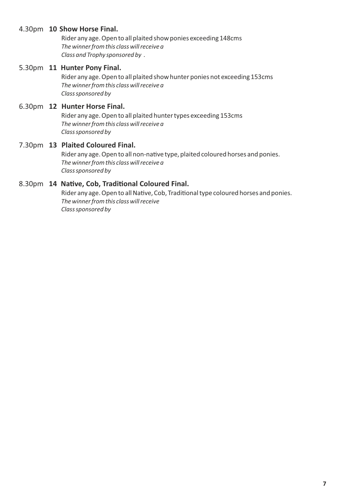### 4.30pm **10 Show Horse Final.**

Rider any age. Open to all plaited show ponies exceeding 148cms *The winner from this class will receive a Class and Trophy sponsored by .*

#### 5.30pm **11 Hunter Pony Final.**

Rider any age. Open to all plaited show hunter ponies not exceeding 153cms *The winner from this class will receive a Class sponsored by* 

### 6.30pm **12 Hunter Horse Final.**

Rider any age. Open to all plaited hunter types exceeding 153cms *The winner from this class will receive a Class sponsored by* 

# 7.30pm **13 Plaited Coloured Final.**

Rider any age. Open to all non-native type, plaited coloured horses and ponies. *The winner from this class will receive a Class sponsored by* 

### 8.30pm **14 Native, Cob, Traditional Coloured Final.**

Rider any age. Open to all Native, Cob, Traditional type coloured horses and ponies. *The winner from this class will receive Class sponsored by*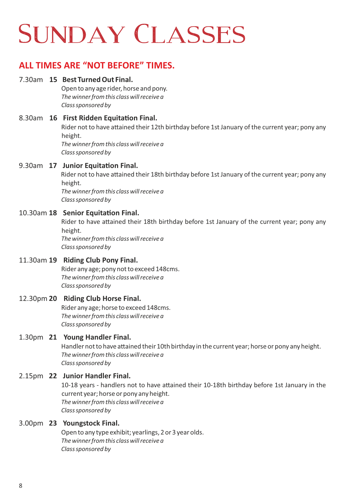# SUNDAY CLASSES

# **ALL TIMES ARE "NOT BEFORE" TIMES.**

### 7.30am **15 Best Turned Out Final.**

Open to any age rider, horse and pony. *The winner from this class will receive a Class sponsored by* 

8.30am **16 First Ridden Equitation Final.** Rider not to have attained their 12th birthday before 1st January of the current year; pony any height. *The winner from this class will receive a Class sponsored by* 

### 9.30am **17 Junior Equitation Final.**

Rider not to have attained their 18th birthday before 1st January of the current year; pony any height. *The winner from this class will receive a* 

*Class sponsored by* 

### 10.30am 18 Senior Equitation Final.

Rider to have attained their 18th birthday before 1st January of the current year; pony any height.

*The winner from this class will receive a Class sponsored by* 

### 11.30am **19 Riding Club Pony Final.**

Rider any age; pony not to exceed 148cms. *The winner from this class will receive a Class sponsored by* 

### 12.30pm **20 Riding Club Horse Final.**

Rider any age; horse to exceed 148cms. *The winner from this class will receive a Class sponsored by* 

### 1.30pm **21 Young Handler Final.**

Handler not to have attained their 10th birthday in the current year; horse or pony any height. *The winner from this class will receive a Class sponsored by* 

### 2.15pm **22 Junior Handler Final.**

10-18 years - handlers not to have attained their 10-18th birthday before 1st January in the current year; horse or pony any height. *The winner from this class will receive a Class sponsored by* 

### 3.00pm **23 Youngstock Final.**

Open to any type exhibit; yearlings, 2 or 3 year olds. *The winner from this class will receive a Class sponsored by*